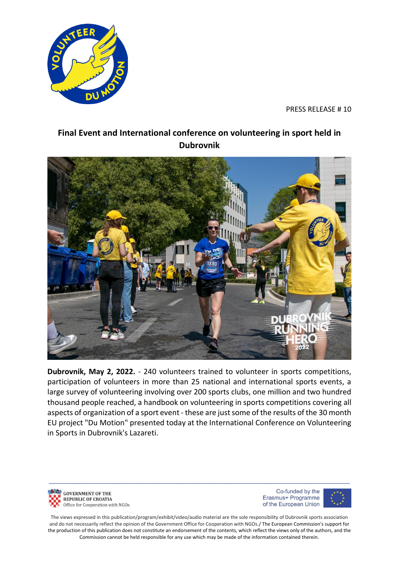

PRESS RELEASE # 10

## **Final Event and International conference on volunteering in sport held in Dubrovnik**



**Dubrovnik, May 2, 2022.** - 240 volunteers trained to volunteer in sports competitions, participation of volunteers in more than 25 national and international sports events, a large survey of volunteering involving over 200 sports clubs, one million and two hundred thousand people reached, a handbook on volunteering in sports competitions covering all aspects of organization of a sport event - these are just some of the results of the 30 month EU project "Du Motion" presented today at the International Conference on Volunteering in Sports in Dubrovnik's Lazareti.

**GOVERNMENT OF THE REPUBLIC OF CROATIA** Office for Cooperation with NGOs

Co-funded by the Erasmus+ Programme of the European Union



The views expressed in this publication/program/exhibit/video/audio material are the sole responsibility of Dubrovnik sports association and do not necessarily reflect the opinion of the Government Office for Cooperation with NGOs./ The European Commission's support for the production of this publication does not constitute an endorsement of the contents, which reflect the views only of the authors, and the Commission cannot be held responsible for any use which may be made of the information contained therein.

\_\_\_\_\_\_\_\_\_\_\_\_\_\_\_\_\_\_\_\_\_\_\_\_\_\_\_\_\_\_\_\_\_\_\_\_\_\_\_\_\_\_\_\_\_\_\_\_\_\_\_\_\_\_\_\_\_\_\_\_\_\_\_\_\_\_\_\_\_\_\_\_\_\_\_\_\_\_\_\_\_\_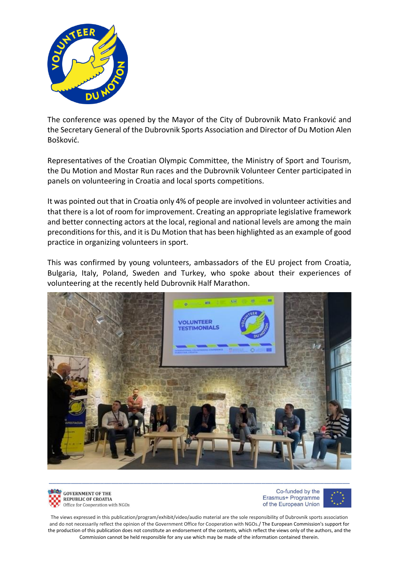

The conference was opened by the Mayor of the City of Dubrovnik Mato Franković and the Secretary General of the Dubrovnik Sports Association and Director of Du Motion Alen Bošković.

Representatives of the Croatian Olympic Committee, the Ministry of Sport and Tourism, the Du Motion and Mostar Run races and the Dubrovnik Volunteer Center participated in panels on volunteering in Croatia and local sports competitions.

It was pointed out that in Croatia only 4% of people are involved in volunteer activities and that there is a lot of room for improvement. Creating an appropriate legislative framework and better connecting actors at the local, regional and national levels are among the main preconditions for this, and it is Du Motion that has been highlighted as an example of good practice in organizing volunteers in sport.

This was confirmed by young volunteers, ambassadors of the EU project from Croatia, Bulgaria, Italy, Poland, Sweden and Turkey, who spoke about their experiences of volunteering at the recently held Dubrovnik Half Marathon.





Co-funded by the Erasmus+ Programme of the European Union

The views expressed in this publication/program/exhibit/video/audio material are the sole responsibility of Dubrovnik sports association and do not necessarily reflect the opinion of the Government Office for Cooperation with NGOs./ The European Commission's support for the production of this publication does not constitute an endorsement of the contents, which reflect the views only of the authors, and the Commission cannot be held responsible for any use which may be made of the information contained therein.

\_\_\_\_\_\_\_\_\_\_\_\_\_\_\_\_\_\_\_\_\_\_\_\_\_\_\_\_\_\_\_\_\_\_\_\_\_\_\_\_\_\_\_\_\_\_\_\_\_\_\_\_\_\_\_\_\_\_\_\_\_\_\_\_\_\_\_\_\_\_\_\_\_\_\_\_\_\_\_\_\_\_